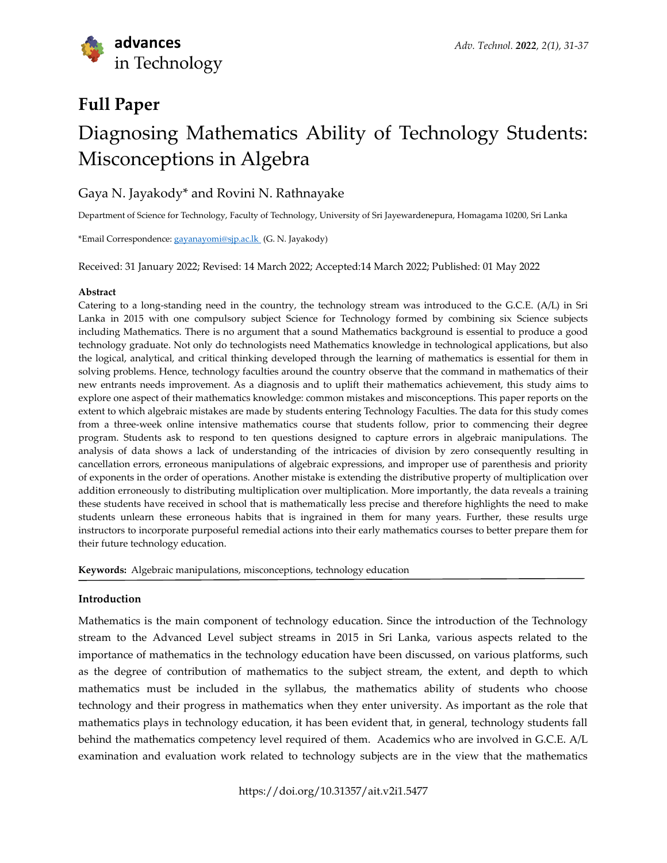# **Full Paper** Diagnosing Mathematics Ability of Technology Students: Misconceptions in Algebra

# Gaya N. Jayakody\* and Rovini N. Rathnayake

Department of Science for Technology, Faculty of Technology, University of Sri Jayewardenepura, Homagama 10200, Sri Lanka

\*Email Correspondence[: gayanayomi@sjp.ac.lk](mailto:gayanayomi@sjp.ac.lk) (G. N. Jayakody)

Received: 31 January 2022; Revised: 14 March 2022; Accepted:14 March 2022; Published: 01 May 2022

#### **Abstract**

Catering to a long-standing need in the country, the technology stream was introduced to the G.C.E. (A/L) in Sri Lanka in 2015 with one compulsory subject Science for Technology formed by combining six Science subjects including Mathematics. There is no argument that a sound Mathematics background is essential to produce a good technology graduate. Not only do technologists need Mathematics knowledge in technological applications, but also the logical, analytical, and critical thinking developed through the learning of mathematics is essential for them in solving problems. Hence, technology faculties around the country observe that the command in mathematics of their new entrants needs improvement. As a diagnosis and to uplift their mathematics achievement, this study aims to explore one aspect of their mathematics knowledge: common mistakes and misconceptions. This paper reports on the extent to which algebraic mistakes are made by students entering Technology Faculties. The data for this study comes from a three-week online intensive mathematics course that students follow, prior to commencing their degree program. Students ask to respond to ten questions designed to capture errors in algebraic manipulations. The analysis of data shows a lack of understanding of the intricacies of division by zero consequently resulting in cancellation errors, erroneous manipulations of algebraic expressions, and improper use of parenthesis and priority of exponents in the order of operations. Another mistake is extending the distributive property of multiplication over addition erroneously to distributing multiplication over multiplication. More importantly, the data reveals a training these students have received in school that is mathematically less precise and therefore highlights the need to make students unlearn these erroneous habits that is ingrained in them for many years. Further, these results urge instructors to incorporate purposeful remedial actions into their early mathematics courses to better prepare them for their future technology education.

**Keywords:** Algebraic manipulations, misconceptions, technology education

# **Introduction**

Mathematics is the main component of technology education. Since the introduction of the Technology stream to the Advanced Level subject streams in 2015 in Sri Lanka, various aspects related to the importance of mathematics in the technology education have been discussed, on various platforms, such as the degree of contribution of mathematics to the subject stream, the extent, and depth to which mathematics must be included in the syllabus, the mathematics ability of students who choose technology and their progress in mathematics when they enter university. As important as the role that mathematics plays in technology education, it has been evident that, in general, technology students fall behind the mathematics competency level required of them. Academics who are involved in G.C.E. A/L examination and evaluation work related to technology subjects are in the view that the mathematics

https://doi.org/10.31357/ait.v2i1.5477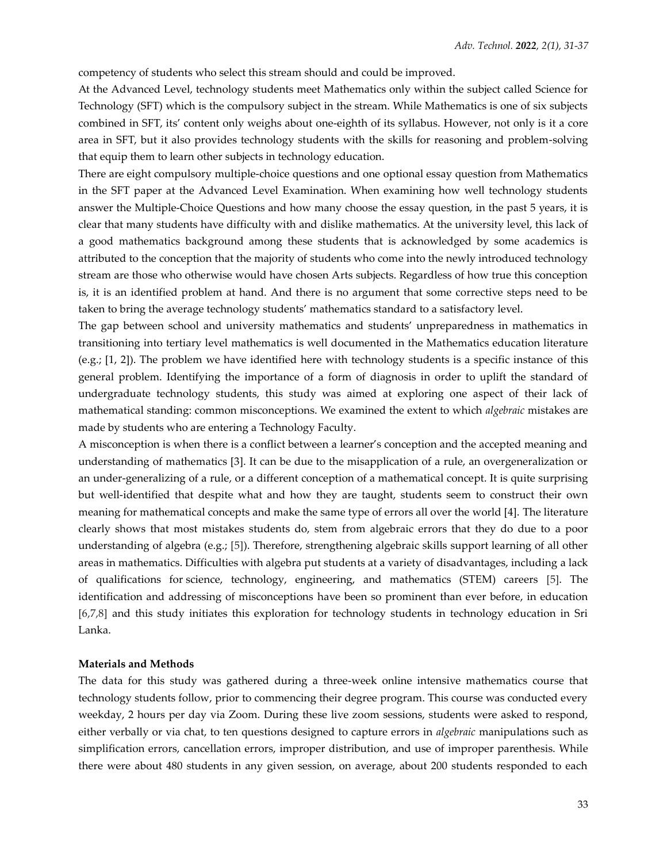competency of students who select this stream should and could be improved.

At the Advanced Level, technology students meet Mathematics only within the subject called Science for Technology (SFT) which is the compulsory subject in the stream. While Mathematics is one of six subjects combined in SFT, its' content only weighs about one-eighth of its syllabus. However, not only is it a core area in SFT, but it also provides technology students with the skills for reasoning and problem-solving that equip them to learn other subjects in technology education.

There are eight compulsory multiple-choice questions and one optional essay question from Mathematics in the SFT paper at the Advanced Level Examination. When examining how well technology students answer the Multiple-Choice Questions and how many choose the essay question, in the past 5 years, it is clear that many students have difficulty with and dislike mathematics. At the university level, this lack of a good mathematics background among these students that is acknowledged by some academics is attributed to the conception that the majority of students who come into the newly introduced technology stream are those who otherwise would have chosen Arts subjects. Regardless of how true this conception is, it is an identified problem at hand. And there is no argument that some corrective steps need to be taken to bring the average technology students' mathematics standard to a satisfactory level.

The gap between school and university mathematics and students' unpreparedness in mathematics in transitioning into tertiary level mathematics is well documented in the Mathematics education literature (e.g.; [1, 2]). The problem we have identified here with technology students is a specific instance of this general problem. Identifying the importance of a form of diagnosis in order to uplift the standard of undergraduate technology students, this study was aimed at exploring one aspect of their lack of mathematical standing: common misconceptions. We examined the extent to which *algebraic* mistakes are made by students who are entering a Technology Faculty.

A misconception is when there is a conflict between a learner's conception and the accepted meaning and understanding of mathematics [3]. It can be due to the misapplication of a rule, an overgeneralization or an under-generalizing of a rule, or a different conception of a mathematical concept. It is quite surprising but well-identified that despite what and how they are taught, students seem to construct their own meaning for mathematical concepts and make the same type of errors all over the world [4]. The literature clearly shows that most mistakes students do, stem from algebraic errors that they do due to a poor understanding of algebra (e.g.; [5]). Therefore, strengthening algebraic skills support learning of all other areas in mathematics. Difficulties with algebra put students at a variety of disadvantages, including a lack of qualifications for science, technology, engineering, and mathematics (STEM) careers [5]. The identification and addressing of misconceptions have been so prominent than ever before, in education [6,7,8] and this study initiates this exploration for technology students in technology education in Sri Lanka.

#### **Materials and Methods**

The data for this study was gathered during a three-week online intensive mathematics course that technology students follow, prior to commencing their degree program. This course was conducted every weekday, 2 hours per day via Zoom. During these live zoom sessions, students were asked to respond, either verbally or via chat, to ten questions designed to capture errors in *algebraic* manipulations such as simplification errors, cancellation errors, improper distribution, and use of improper parenthesis. While there were about 480 students in any given session, on average, about 200 students responded to each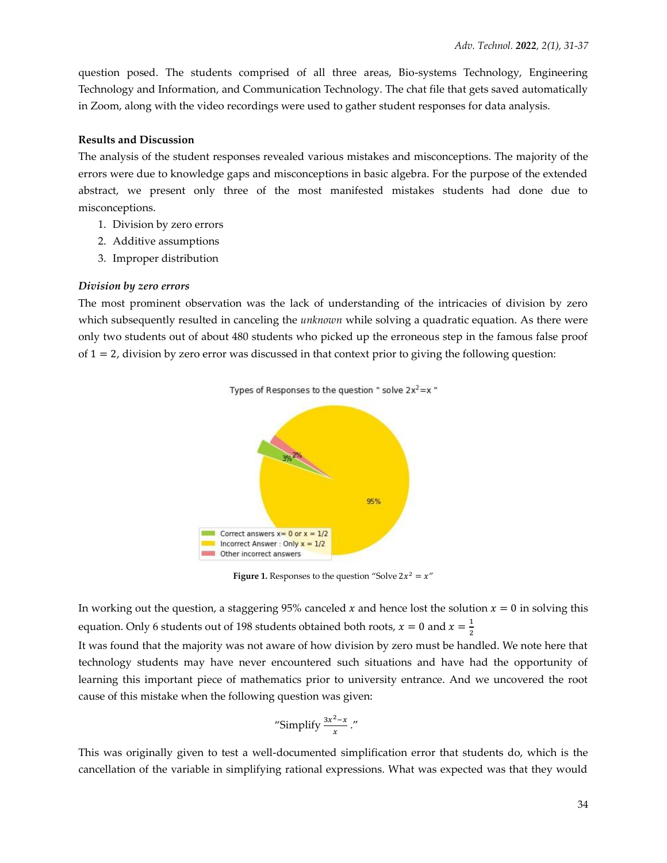question posed. The students comprised of all three areas, Bio-systems Technology, Engineering Technology and Information, and Communication Technology. The chat file that gets saved automatically in Zoom, along with the video recordings were used to gather student responses for data analysis.

#### **Results and Discussion**

The analysis of the student responses revealed various mistakes and misconceptions. The majority of the errors were due to knowledge gaps and misconceptions in basic algebra. For the purpose of the extended abstract, we present only three of the most manifested mistakes students had done due to misconceptions.

- 1. Division by zero errors
- 2. Additive assumptions
- 3. Improper distribution

#### *Division by zero errors*

The most prominent observation was the lack of understanding of the intricacies of division by zero which subsequently resulted in canceling the *unknown* while solving a quadratic equation. As there were only two students out of about 480 students who picked up the erroneous step in the famous false proof of  $1 = 2$ , division by zero error was discussed in that context prior to giving the following question:



**Figure 1.** Responses to the question "Solve  $2x^2 = x$ "

In working out the question, a staggering 95% canceled x and hence lost the solution  $x = 0$  in solving this equation. Only 6 students out of 198 students obtained both roots,  $x = 0$  and  $x = \frac{1}{2}$ 2

It was found that the majority was not aware of how division by zero must be handled. We note here that technology students may have never encountered such situations and have had the opportunity of learning this important piece of mathematics prior to university entrance. And we uncovered the root cause of this mistake when the following question was given:

"Simplify 
$$
\frac{3x^2-x}{x}
$$
."

This was originally given to test a well-documented simplification error that students do, which is the cancellation of the variable in simplifying rational expressions. What was expected was that they would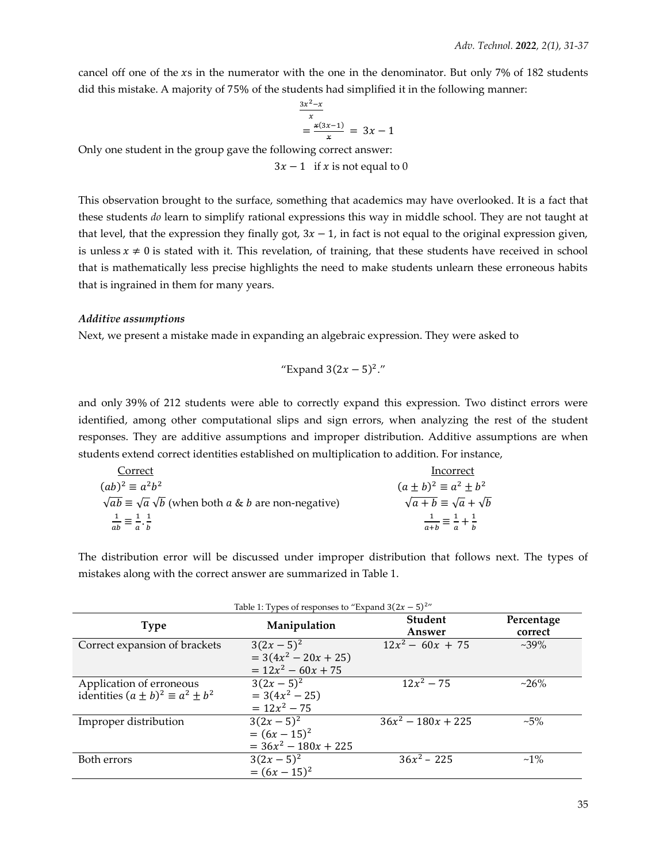cancel off one of the  $xs$  in the numerator with the one in the denominator. But only 7% of 182 students did this mistake. A majority of 75% of the students had simplified it in the following manner:

$$
\frac{\frac{3x^2 - x}{x}}{x} = \frac{x(3x - 1)}{x} = 3x - 1
$$

Only one student in the group gave the following correct answer:

 $3x - 1$  if x is not equal to 0

This observation brought to the surface, something that academics may have overlooked. It is a fact that these students *do* learn to simplify rational expressions this way in middle school. They are not taught at that level, that the expression they finally got,  $3x - 1$ , in fact is not equal to the original expression given, is unless  $x \neq 0$  is stated with it. This revelation, of training, that these students have received in school that is mathematically less precise highlights the need to make students unlearn these erroneous habits that is ingrained in them for many years.

#### *Additive assumptions*

Next, we present a mistake made in expanding an algebraic expression. They were asked to

"Expand 
$$
3(2x - 5)^2
$$
."

and only 39% of 212 students were able to correctly expand this expression. Two distinct errors were identified, among other computational slips and sign errors, when analyzing the rest of the student responses. They are additive assumptions and improper distribution. Additive assumptions are when students extend correct identities established on multiplication to addition. For instance,

| Correct                                                                               | Incorrect                                        |
|---------------------------------------------------------------------------------------|--------------------------------------------------|
| $(ab)^2 \equiv a^2b^2$                                                                | $(a \pm b)^2 \equiv a^2 \pm b^2$                 |
| $\sqrt{ab} \equiv \sqrt{a} \sqrt{b}$ (when both <i>a</i> & <i>b</i> are non-negative) | $\sqrt{a+b} \equiv \sqrt{a} + \sqrt{b}$          |
| $\frac{1}{2} = \frac{1}{2}$<br>$ab = a \cdot b$                                       | $\frac{1}{a+b} \equiv \frac{1}{a} + \frac{1}{b}$ |

The distribution error will be discussed under improper distribution that follows next. The types of mistakes along with the correct answer are summarized in Table 1.

| Table 1: Types of responses to "Expand $3(2x-5)^{2}$ " |                        |                          |                       |
|--------------------------------------------------------|------------------------|--------------------------|-----------------------|
| <b>Type</b>                                            | Manipulation           | <b>Student</b><br>Answer | Percentage<br>correct |
|                                                        |                        |                          |                       |
| Correct expansion of brackets                          | $3(2x-5)^2$            | $12x^2 - 60x + 75$       | $~239\%$              |
|                                                        | $= 3(4x^2 - 20x + 25)$ |                          |                       |
|                                                        | $= 12x^2 - 60x + 75$   |                          |                       |
| Application of erroneous                               | $3(2x-5)^2$            | $\sqrt{12x^2} - 75$      | $~26\%$               |
| identities $(a \pm b)^2 \equiv a^2 \pm b^2$            | $= 3(4x^2 - 25)$       |                          |                       |
|                                                        | $= 12x^2 - 75$         |                          |                       |
| Improper distribution                                  | $3(2x-5)^2$            | $36x^2 - 180x + 225$     | $~1.5\%$              |
|                                                        | $=(6x-15)^2$           |                          |                       |
|                                                        | $= 36x^2 - 180x + 225$ |                          |                       |
| Both errors                                            | $3(2x-5)^2$            | $36x^2 - 225$            | $~1\%$                |
|                                                        | $=(6x-15)^2$           |                          |                       |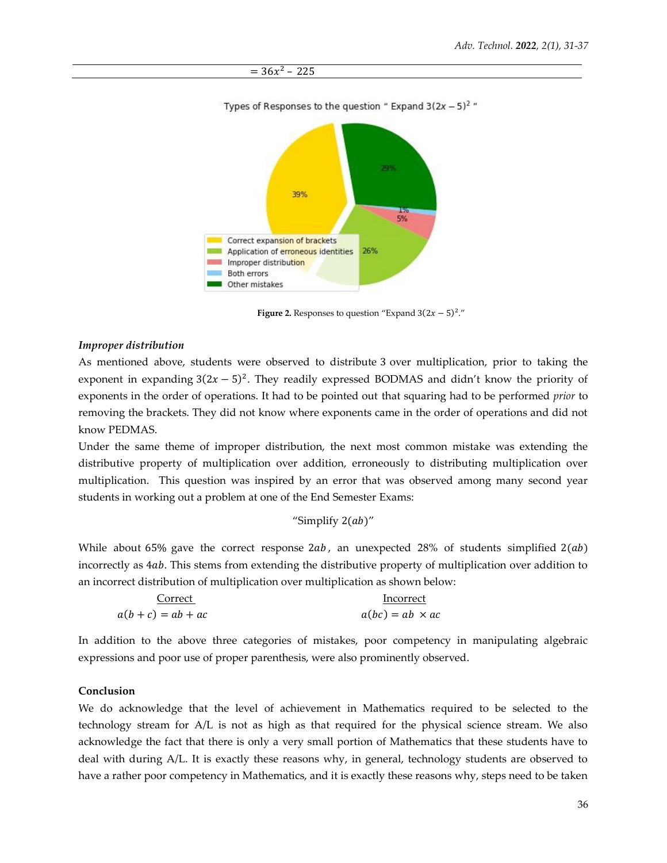

**Figure 2.** Responses to question "Expand  $3(2x - 5)^2$ ."

#### *Improper distribution*

As mentioned above, students were observed to distribute 3 over multiplication, prior to taking the exponent in expanding  $3(2x - 5)^2$ . They readily expressed BODMAS and didn't know the priority of exponents in the order of operations. It had to be pointed out that squaring had to be performed *prior* to removing the brackets. They did not know where exponents came in the order of operations and did not know PEDMAS.

Under the same theme of improper distribution, the next most common mistake was extending the distributive property of multiplication over addition, erroneously to distributing multiplication over multiplication. This question was inspired by an error that was observed among many second year students in working out a problem at one of the End Semester Exams:

# "Simplify  $2(ab)$ "

While about 65% gave the correct response  $2ab$ , an unexpected 28% of students simplified  $2(ab)$ incorrectly as 4ab. This stems from extending the distributive property of multiplication over addition to an incorrect distribution of multiplication over multiplication as shown below:

| Correct            | Incorrect              |  |
|--------------------|------------------------|--|
| $a(b+c) = ab + ac$ | $a(bc) = ab \times ac$ |  |

In addition to the above three categories of mistakes, poor competency in manipulating algebraic expressions and poor use of proper parenthesis, were also prominently observed.

# **Conclusion**

We do acknowledge that the level of achievement in Mathematics required to be selected to the technology stream for A/L is not as high as that required for the physical science stream. We also acknowledge the fact that there is only a very small portion of Mathematics that these students have to deal with during A/L. It is exactly these reasons why, in general, technology students are observed to have a rather poor competency in Mathematics, and it is exactly these reasons why, steps need to be taken